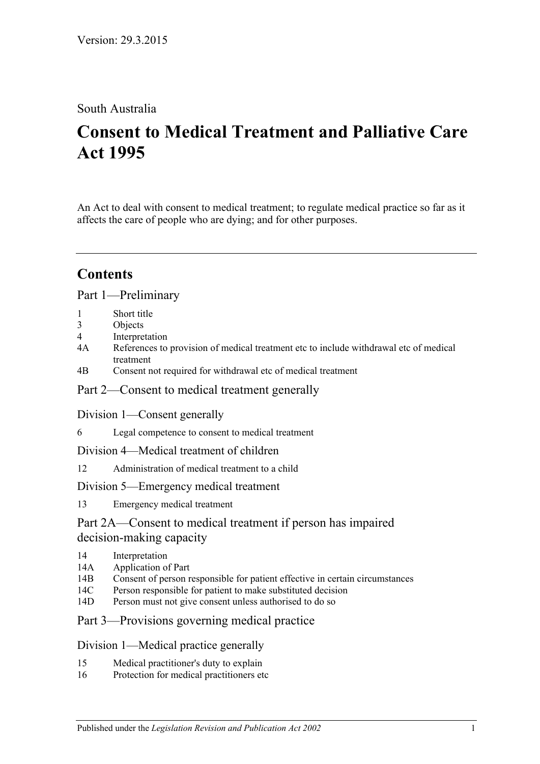## South Australia

# **Consent to Medical Treatment and Palliative Care Act 1995**

An Act to deal with consent to medical treatment; to regulate medical practice so far as it affects the care of people who are dying; and for other purposes.

# **Contents**

[Part 1—Preliminary](#page-1-0)

- 1 [Short title](#page-1-1)
- 3 [Objects](#page-1-2)
- 4 [Interpretation](#page-2-0)
- 4A [References to provision of medical treatment etc to include withdrawal etc of medical](#page-4-0)  [treatment](#page-4-0)
- 4B [Consent not required for withdrawal etc of medical treatment](#page-4-1)

[Part 2—Consent to medical treatment generally](#page-4-2)

[Division 1—Consent generally](#page-4-3)

6 [Legal competence to consent to medical treatment](#page-4-4)

[Division 4—Medical treatment of children](#page-5-0)

12 [Administration of medical treatment to a child](#page-5-1)

#### [Division 5—Emergency medical treatment](#page-5-2)

13 [Emergency medical treatment](#page-5-3)

## [Part 2A—Consent to medical treatment if person has impaired](#page-7-0)  [decision-making capacity](#page-7-0)

- 14 [Interpretation](#page-7-1)
- 14A [Application of Part](#page-8-0)
- 14B [Consent of person responsible for patient effective in certain circumstances](#page-8-1)
- 14C [Person responsible for patient to make substituted decision](#page-9-0)
- 14D [Person must not give consent unless authorised to do so](#page-9-1)

#### [Part 3—Provisions governing medical practice](#page-10-0)

#### Division [1—Medical practice generally](#page-10-1)

- 15 [Medical practitioner's duty to explain](#page-10-2)
- 16 [Protection for medical practitioners etc](#page-10-3)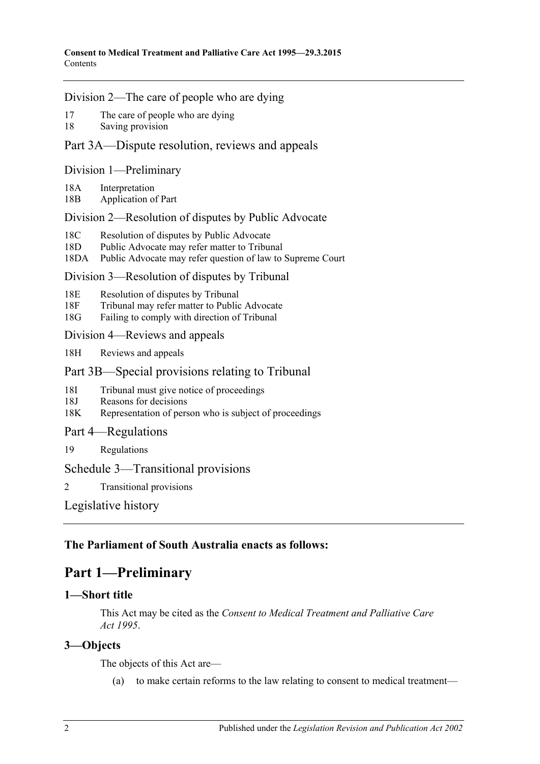[Division 2—The care of people who are dying](#page-10-4)

- 17 [The care of people who are dying](#page-10-5)
- 18 [Saving provision](#page-11-0)

#### [Part 3A—Dispute resolution, reviews and appeals](#page-11-1)

#### Division [1—Preliminary](#page-11-2)

18A [Interpretation](#page-11-3)

18B [Application of Part](#page-11-4)

#### Division [2—Resolution of disputes by Public Advocate](#page-12-0)

- 18C [Resolution of disputes by Public Advocate](#page-12-1)
- 18D [Public Advocate may refer matter to Tribunal](#page-13-0)
- 18DA [Public Advocate may refer question of law to Supreme Court](#page-13-1)

#### Division [3—Resolution of disputes by Tribunal](#page-13-2)

- 18E [Resolution of disputes by Tribunal](#page-13-3)
- 18F [Tribunal may refer matter to Public Advocate](#page-14-0)
- 18G [Failing to comply with direction of Tribunal](#page-14-1)

[Division 4—Reviews and appeals](#page-15-0)

18H [Reviews and appeals](#page-15-1)

#### [Part 3B—Special provisions relating to Tribunal](#page-16-0)

- 18I [Tribunal must give notice of proceedings](#page-16-1)
- 18J [Reasons for decisions](#page-16-2)
- 18K [Representation of person who is subject of proceedings](#page-16-3)

#### [Part 4—Regulations](#page-17-0)

19 [Regulations](#page-17-1)

#### [Schedule 3—Transitional provisions](#page-17-2)

2 [Transitional provisions](#page-17-3)

[Legislative history](#page-18-0)

## <span id="page-1-0"></span>**The Parliament of South Australia enacts as follows:**

# **Part 1—Preliminary**

#### <span id="page-1-1"></span>**1—Short title**

This Act may be cited as the *Consent to Medical Treatment and Palliative Care Act 1995*.

#### <span id="page-1-2"></span>**3—Objects**

The objects of this Act are—

(a) to make certain reforms to the law relating to consent to medical treatment—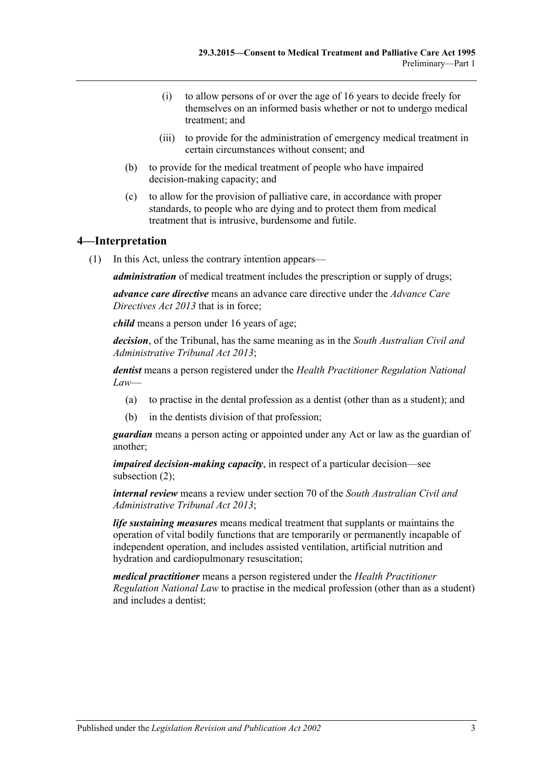- (i) to allow persons of or over the age of 16 years to decide freely for themselves on an informed basis whether or not to undergo medical treatment; and
- (iii) to provide for the administration of emergency medical treatment in certain circumstances without consent; and
- (b) to provide for the medical treatment of people who have impaired decision-making capacity; and
- (c) to allow for the provision of palliative care, in accordance with proper standards, to people who are dying and to protect them from medical treatment that is intrusive, burdensome and futile.

#### <span id="page-2-0"></span>**4—Interpretation**

(1) In this Act, unless the contrary intention appears—

*administration* of medical treatment includes the prescription or supply of drugs;

*advance care directive* means an advance care directive under the *[Advance Care](http://www.legislation.sa.gov.au/index.aspx?action=legref&type=act&legtitle=Advance%20Care%20Directives%20Act%202013)  [Directives Act](http://www.legislation.sa.gov.au/index.aspx?action=legref&type=act&legtitle=Advance%20Care%20Directives%20Act%202013) 2013* that is in force;

*child* means a person under 16 years of age;

*decision*, of the Tribunal, has the same meaning as in the *[South Australian Civil and](http://www.legislation.sa.gov.au/index.aspx?action=legref&type=act&legtitle=South%20Australian%20Civil%20and%20Administrative%20Tribunal%20Act%202013)  [Administrative Tribunal Act](http://www.legislation.sa.gov.au/index.aspx?action=legref&type=act&legtitle=South%20Australian%20Civil%20and%20Administrative%20Tribunal%20Act%202013) 2013*;

*dentist* means a person registered under the *Health Practitioner Regulation National Law*—

- (a) to practise in the dental profession as a dentist (other than as a student); and
- (b) in the dentists division of that profession;

*guardian* means a person acting or appointed under any Act or law as the guardian of another;

*impaired decision-making capacity*, in respect of a particular decision—see [subsection](#page-3-0) (2);

*internal review* means a review under section 70 of the *[South Australian Civil and](http://www.legislation.sa.gov.au/index.aspx?action=legref&type=act&legtitle=South%20Australian%20Civil%20and%20Administrative%20Tribunal%20Act%202013)  [Administrative Tribunal Act](http://www.legislation.sa.gov.au/index.aspx?action=legref&type=act&legtitle=South%20Australian%20Civil%20and%20Administrative%20Tribunal%20Act%202013) 2013*;

*life sustaining measures* means medical treatment that supplants or maintains the operation of vital bodily functions that are temporarily or permanently incapable of independent operation, and includes assisted ventilation, artificial nutrition and hydration and cardiopulmonary resuscitation;

*medical practitioner* means a person registered under the *Health Practitioner Regulation National Law* to practise in the medical profession (other than as a student) and includes a dentist;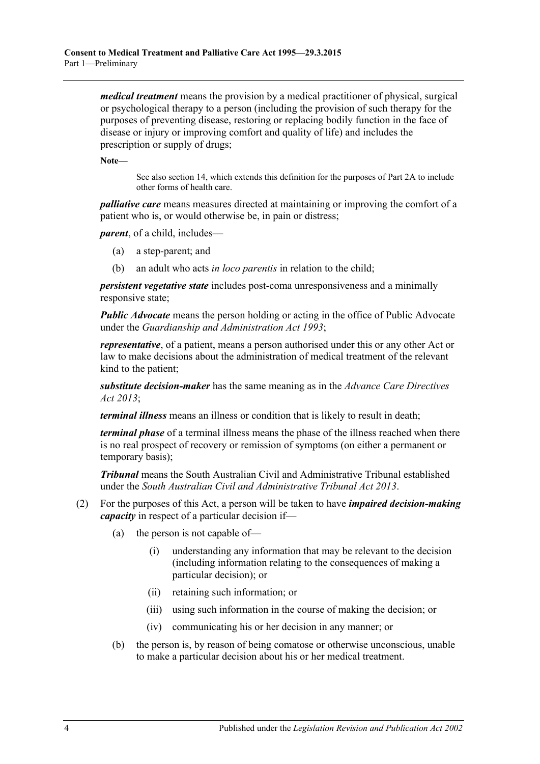*medical treatment* means the provision by a medical practitioner of physical, surgical or psychological therapy to a person (including the provision of such therapy for the purposes of preventing disease, restoring or replacing bodily function in the face of disease or injury or improving comfort and quality of life) and includes the prescription or supply of drugs;

**Note—**

See also [section](#page-7-1) 14, which extends this definition for the purposes of [Part 2A](#page-7-0) to include other forms of health care.

*palliative care* means measures directed at maintaining or improving the comfort of a patient who is, or would otherwise be, in pain or distress;

*parent*, of a child, includes—

- (a) a step-parent; and
- (b) an adult who acts *in loco parentis* in relation to the child;

*persistent vegetative state* includes post-coma unresponsiveness and a minimally responsive state;

*Public Advocate* means the person holding or acting in the office of Public Advocate under the *[Guardianship and Administration Act](http://www.legislation.sa.gov.au/index.aspx?action=legref&type=act&legtitle=Guardianship%20and%20Administration%20Act%201993) 1993*;

*representative*, of a patient, means a person authorised under this or any other Act or law to make decisions about the administration of medical treatment of the relevant kind to the patient;

*substitute decision-maker* has the same meaning as in the *[Advance Care Directives](http://www.legislation.sa.gov.au/index.aspx?action=legref&type=act&legtitle=Advance%20Care%20Directives%20Act%202013)  Act [2013](http://www.legislation.sa.gov.au/index.aspx?action=legref&type=act&legtitle=Advance%20Care%20Directives%20Act%202013)*;

*terminal illness* means an illness or condition that is likely to result in death;

*terminal phase* of a terminal illness means the phase of the illness reached when there is no real prospect of recovery or remission of symptoms (on either a permanent or temporary basis);

*Tribunal* means the South Australian Civil and Administrative Tribunal established under the *[South Australian Civil and Administrative Tribunal Act](http://www.legislation.sa.gov.au/index.aspx?action=legref&type=act&legtitle=South%20Australian%20Civil%20and%20Administrative%20Tribunal%20Act%202013) 2013*.

- <span id="page-3-0"></span>(2) For the purposes of this Act, a person will be taken to have *impaired decision-making capacity* in respect of a particular decision if—
	- (a) the person is not capable of—
		- (i) understanding any information that may be relevant to the decision (including information relating to the consequences of making a particular decision); or
		- (ii) retaining such information; or
		- (iii) using such information in the course of making the decision; or
		- (iv) communicating his or her decision in any manner; or
	- (b) the person is, by reason of being comatose or otherwise unconscious, unable to make a particular decision about his or her medical treatment.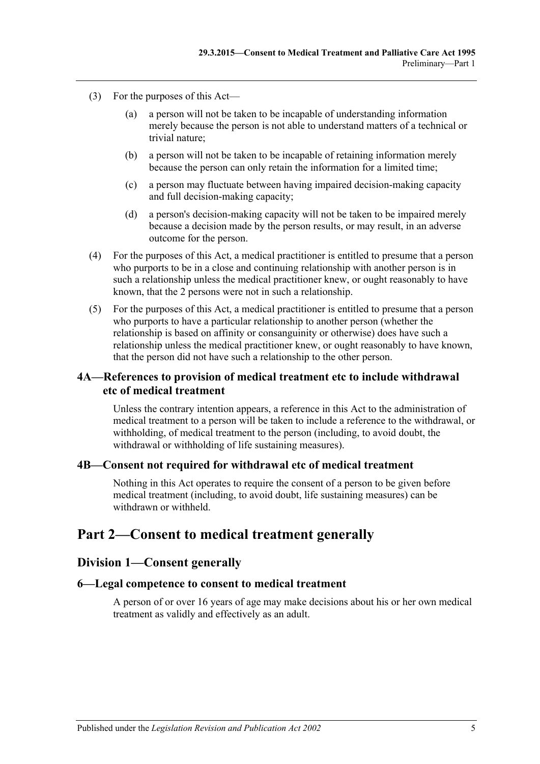- (3) For the purposes of this Act—
	- (a) a person will not be taken to be incapable of understanding information merely because the person is not able to understand matters of a technical or trivial nature;
	- (b) a person will not be taken to be incapable of retaining information merely because the person can only retain the information for a limited time;
	- (c) a person may fluctuate between having impaired decision-making capacity and full decision-making capacity;
	- (d) a person's decision-making capacity will not be taken to be impaired merely because a decision made by the person results, or may result, in an adverse outcome for the person.
- (4) For the purposes of this Act, a medical practitioner is entitled to presume that a person who purports to be in a close and continuing relationship with another person is in such a relationship unless the medical practitioner knew, or ought reasonably to have known, that the 2 persons were not in such a relationship.
- (5) For the purposes of this Act, a medical practitioner is entitled to presume that a person who purports to have a particular relationship to another person (whether the relationship is based on affinity or consanguinity or otherwise) does have such a relationship unless the medical practitioner knew, or ought reasonably to have known, that the person did not have such a relationship to the other person.

#### <span id="page-4-0"></span>**4A—References to provision of medical treatment etc to include withdrawal etc of medical treatment**

Unless the contrary intention appears, a reference in this Act to the administration of medical treatment to a person will be taken to include a reference to the withdrawal, or withholding, of medical treatment to the person (including, to avoid doubt, the withdrawal or withholding of life sustaining measures).

#### <span id="page-4-1"></span>**4B—Consent not required for withdrawal etc of medical treatment**

Nothing in this Act operates to require the consent of a person to be given before medical treatment (including, to avoid doubt, life sustaining measures) can be withdrawn or withheld.

## <span id="page-4-3"></span><span id="page-4-2"></span>**Part 2—Consent to medical treatment generally**

#### **Division 1—Consent generally**

#### <span id="page-4-4"></span>**6—Legal competence to consent to medical treatment**

A person of or over 16 years of age may make decisions about his or her own medical treatment as validly and effectively as an adult.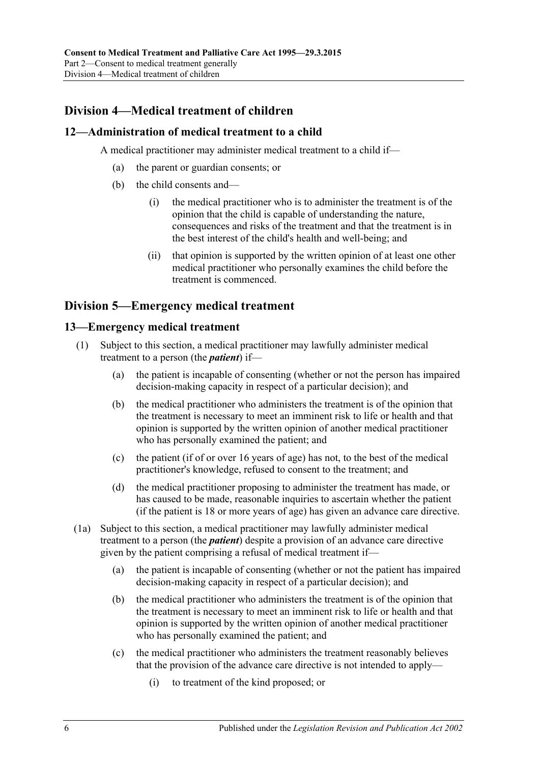## <span id="page-5-0"></span>**Division 4—Medical treatment of children**

#### <span id="page-5-1"></span>**12—Administration of medical treatment to a child**

A medical practitioner may administer medical treatment to a child if—

- (a) the parent or guardian consents; or
- (b) the child consents and—
	- (i) the medical practitioner who is to administer the treatment is of the opinion that the child is capable of understanding the nature, consequences and risks of the treatment and that the treatment is in the best interest of the child's health and well-being; and
	- (ii) that opinion is supported by the written opinion of at least one other medical practitioner who personally examines the child before the treatment is commenced.

## <span id="page-5-2"></span>**Division 5—Emergency medical treatment**

#### <span id="page-5-3"></span>**13—Emergency medical treatment**

- <span id="page-5-4"></span>(1) Subject to this section, a medical practitioner may lawfully administer medical treatment to a person (the *patient*) if—
	- (a) the patient is incapable of consenting (whether or not the person has impaired decision-making capacity in respect of a particular decision); and
	- (b) the medical practitioner who administers the treatment is of the opinion that the treatment is necessary to meet an imminent risk to life or health and that opinion is supported by the written opinion of another medical practitioner who has personally examined the patient; and
	- (c) the patient (if of or over 16 years of age) has not, to the best of the medical practitioner's knowledge, refused to consent to the treatment; and
	- (d) the medical practitioner proposing to administer the treatment has made, or has caused to be made, reasonable inquiries to ascertain whether the patient (if the patient is 18 or more years of age) has given an advance care directive.
- <span id="page-5-6"></span><span id="page-5-5"></span>(1a) Subject to this section, a medical practitioner may lawfully administer medical treatment to a person (the *patient*) despite a provision of an advance care directive given by the patient comprising a refusal of medical treatment if—
	- (a) the patient is incapable of consenting (whether or not the patient has impaired decision-making capacity in respect of a particular decision); and
	- (b) the medical practitioner who administers the treatment is of the opinion that the treatment is necessary to meet an imminent risk to life or health and that opinion is supported by the written opinion of another medical practitioner who has personally examined the patient; and
	- (c) the medical practitioner who administers the treatment reasonably believes that the provision of the advance care directive is not intended to apply—
		- (i) to treatment of the kind proposed; or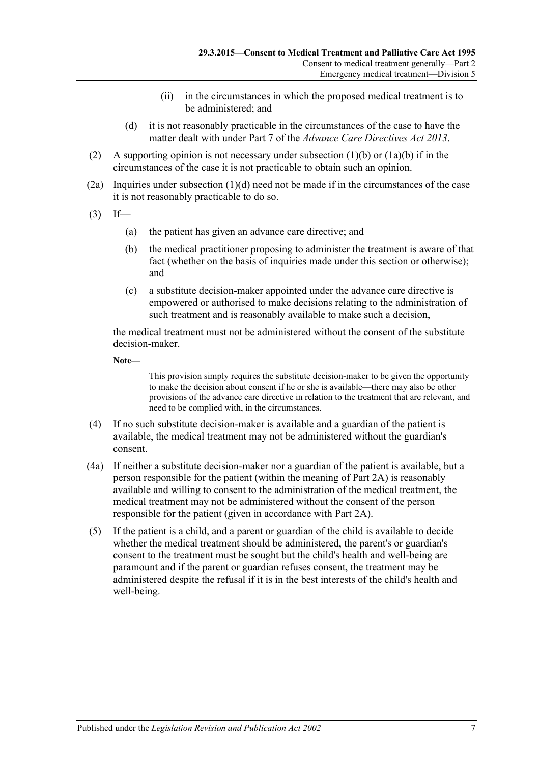- (ii) in the circumstances in which the proposed medical treatment is to be administered; and
- (d) it is not reasonably practicable in the circumstances of the case to have the matter dealt with under Part 7 of the *[Advance Care Directives Act](http://www.legislation.sa.gov.au/index.aspx?action=legref&type=act&legtitle=Advance%20Care%20Directives%20Act%202013) 2013*.
- (2) A supporting opinion is not necessary under [subsection](#page-5-4)  $(1)(b)$  or  $(1a)(b)$  if in the circumstances of the case it is not practicable to obtain such an opinion.
- (2a) Inquiries under [subsection](#page-5-6)  $(1)(d)$  need not be made if in the circumstances of the case it is not reasonably practicable to do so.
- $(3)$  If—
	- (a) the patient has given an advance care directive; and
	- (b) the medical practitioner proposing to administer the treatment is aware of that fact (whether on the basis of inquiries made under this section or otherwise); and
	- (c) a substitute decision-maker appointed under the advance care directive is empowered or authorised to make decisions relating to the administration of such treatment and is reasonably available to make such a decision,

the medical treatment must not be administered without the consent of the substitute decision-maker.

**Note—**

This provision simply requires the substitute decision-maker to be given the opportunity to make the decision about consent if he or she is available—there may also be other provisions of the advance care directive in relation to the treatment that are relevant, and need to be complied with, in the circumstances.

- (4) If no such substitute decision-maker is available and a guardian of the patient is available, the medical treatment may not be administered without the guardian's consent.
- (4a) If neither a substitute decision-maker nor a guardian of the patient is available, but a person responsible for the patient (within the meaning of [Part 2A\)](#page-7-0) is reasonably available and willing to consent to the administration of the medical treatment, the medical treatment may not be administered without the consent of the person responsible for the patient (given in accordance with [Part 2A\)](#page-7-0).
- (5) If the patient is a child, and a parent or guardian of the child is available to decide whether the medical treatment should be administered, the parent's or guardian's consent to the treatment must be sought but the child's health and well-being are paramount and if the parent or guardian refuses consent, the treatment may be administered despite the refusal if it is in the best interests of the child's health and well-being.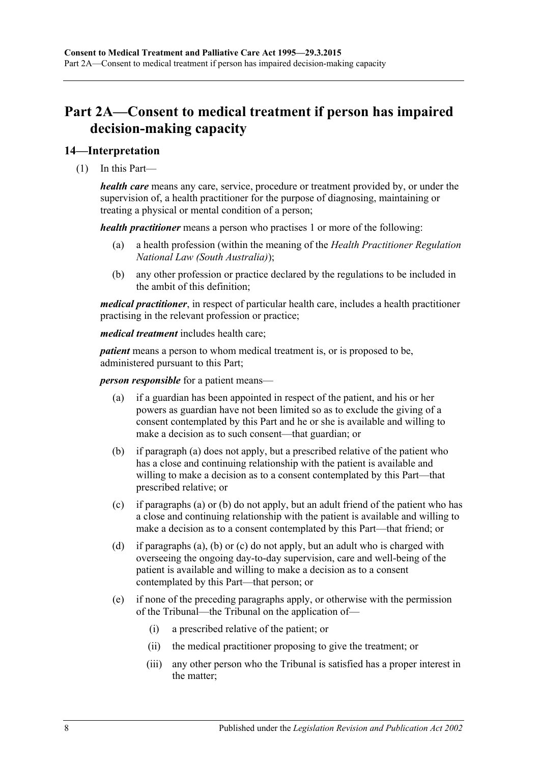# <span id="page-7-0"></span>**Part 2A—Consent to medical treatment if person has impaired decision-making capacity**

#### <span id="page-7-1"></span>**14—Interpretation**

(1) In this Part—

*health care* means any care, service, procedure or treatment provided by, or under the supervision of, a health practitioner for the purpose of diagnosing, maintaining or treating a physical or mental condition of a person;

*health practitioner* means a person who practises 1 or more of the following:

- (a) a health profession (within the meaning of the *Health Practitioner Regulation National Law (South Australia)*);
- (b) any other profession or practice declared by the regulations to be included in the ambit of this definition;

*medical practitioner*, in respect of particular health care, includes a health practitioner practising in the relevant profession or practice;

*medical treatment* includes health care;

*patient* means a person to whom medical treatment is, or is proposed to be, administered pursuant to this Part;

<span id="page-7-2"></span>*person responsible* for a patient means—

- (a) if a guardian has been appointed in respect of the patient, and his or her powers as guardian have not been limited so as to exclude the giving of a consent contemplated by this Part and he or she is available and willing to make a decision as to such consent—that guardian; or
- <span id="page-7-3"></span>(b) if [paragraph](#page-7-2) (a) does not apply, but a prescribed relative of the patient who has a close and continuing relationship with the patient is available and willing to make a decision as to a consent contemplated by this Part—that prescribed relative; or
- <span id="page-7-4"></span>(c) if [paragraphs](#page-7-2) (a) or [\(b\)](#page-7-3) do not apply, but an adult friend of the patient who has a close and continuing relationship with the patient is available and willing to make a decision as to a consent contemplated by this Part—that friend; or
- (d) if [paragraphs](#page-7-2) (a), [\(b\)](#page-7-3) or [\(c\)](#page-7-4) do not apply, but an adult who is charged with overseeing the ongoing day-to-day supervision, care and well-being of the patient is available and willing to make a decision as to a consent contemplated by this Part—that person; or
- (e) if none of the preceding paragraphs apply, or otherwise with the permission of the Tribunal—the Tribunal on the application of—
	- (i) a prescribed relative of the patient; or
	- (ii) the medical practitioner proposing to give the treatment; or
	- (iii) any other person who the Tribunal is satisfied has a proper interest in the matter;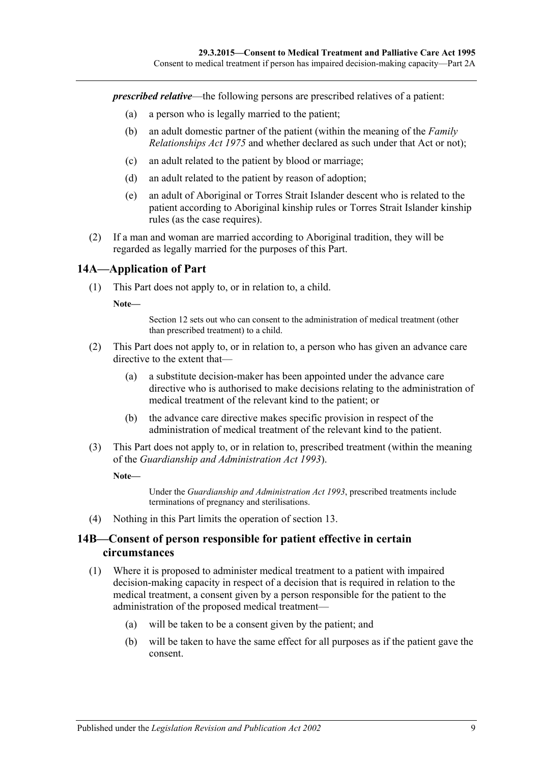*prescribed relative*—the following persons are prescribed relatives of a patient:

- (a) a person who is legally married to the patient;
- (b) an adult domestic partner of the patient (within the meaning of the *[Family](http://www.legislation.sa.gov.au/index.aspx?action=legref&type=act&legtitle=Family%20Relationships%20Act%201975)  [Relationships Act](http://www.legislation.sa.gov.au/index.aspx?action=legref&type=act&legtitle=Family%20Relationships%20Act%201975) 1975* and whether declared as such under that Act or not);
- (c) an adult related to the patient by blood or marriage;
- (d) an adult related to the patient by reason of adoption;
- (e) an adult of Aboriginal or Torres Strait Islander descent who is related to the patient according to Aboriginal kinship rules or Torres Strait Islander kinship rules (as the case requires).
- (2) If a man and woman are married according to Aboriginal tradition, they will be regarded as legally married for the purposes of this Part.

#### <span id="page-8-0"></span>**14A—Application of Part**

(1) This Part does not apply to, or in relation to, a child.

**Note—**

[Section](#page-5-1) 12 sets out who can consent to the administration of medical treatment (other than prescribed treatment) to a child.

- (2) This Part does not apply to, or in relation to, a person who has given an advance care directive to the extent that—
	- (a) a substitute decision-maker has been appointed under the advance care directive who is authorised to make decisions relating to the administration of medical treatment of the relevant kind to the patient; or
	- (b) the advance care directive makes specific provision in respect of the administration of medical treatment of the relevant kind to the patient.
- (3) This Part does not apply to, or in relation to, prescribed treatment (within the meaning of the *[Guardianship and Administration Act](http://www.legislation.sa.gov.au/index.aspx?action=legref&type=act&legtitle=Guardianship%20and%20Administration%20Act%201993) 1993*).

**Note—**

Under the *[Guardianship and Administration Act](http://www.legislation.sa.gov.au/index.aspx?action=legref&type=act&legtitle=Guardianship%20and%20Administration%20Act%201993) 1993*, prescribed treatments include terminations of pregnancy and sterilisations.

(4) Nothing in this Part limits the operation of [section](#page-5-3) 13.

#### <span id="page-8-1"></span>**14B—Consent of person responsible for patient effective in certain circumstances**

- (1) Where it is proposed to administer medical treatment to a patient with impaired decision-making capacity in respect of a decision that is required in relation to the medical treatment, a consent given by a person responsible for the patient to the administration of the proposed medical treatment—
	- (a) will be taken to be a consent given by the patient; and
	- (b) will be taken to have the same effect for all purposes as if the patient gave the consent.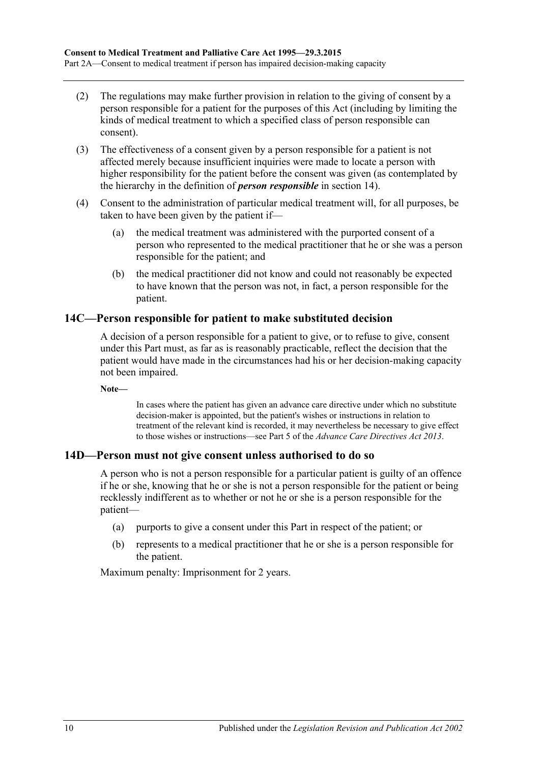- (2) The regulations may make further provision in relation to the giving of consent by a person responsible for a patient for the purposes of this Act (including by limiting the kinds of medical treatment to which a specified class of person responsible can consent).
- (3) The effectiveness of a consent given by a person responsible for a patient is not affected merely because insufficient inquiries were made to locate a person with higher responsibility for the patient before the consent was given (as contemplated by the hierarchy in the definition of *person responsible* in [section](#page-7-1) 14).
- (4) Consent to the administration of particular medical treatment will, for all purposes, be taken to have been given by the patient if—
	- (a) the medical treatment was administered with the purported consent of a person who represented to the medical practitioner that he or she was a person responsible for the patient; and
	- (b) the medical practitioner did not know and could not reasonably be expected to have known that the person was not, in fact, a person responsible for the patient.

#### <span id="page-9-0"></span>**14C—Person responsible for patient to make substituted decision**

A decision of a person responsible for a patient to give, or to refuse to give, consent under this Part must, as far as is reasonably practicable, reflect the decision that the patient would have made in the circumstances had his or her decision-making capacity not been impaired.

**Note—**

In cases where the patient has given an advance care directive under which no substitute decision-maker is appointed, but the patient's wishes or instructions in relation to treatment of the relevant kind is recorded, it may nevertheless be necessary to give effect to those wishes or instructions—see Part 5 of the *[Advance Care Directives Act](http://www.legislation.sa.gov.au/index.aspx?action=legref&type=act&legtitle=Advance%20Care%20Directives%20Act%202013) 2013*.

#### <span id="page-9-1"></span>**14D—Person must not give consent unless authorised to do so**

A person who is not a person responsible for a particular patient is guilty of an offence if he or she, knowing that he or she is not a person responsible for the patient or being recklessly indifferent as to whether or not he or she is a person responsible for the patient—

- (a) purports to give a consent under this Part in respect of the patient; or
- (b) represents to a medical practitioner that he or she is a person responsible for the patient.

Maximum penalty: Imprisonment for 2 years.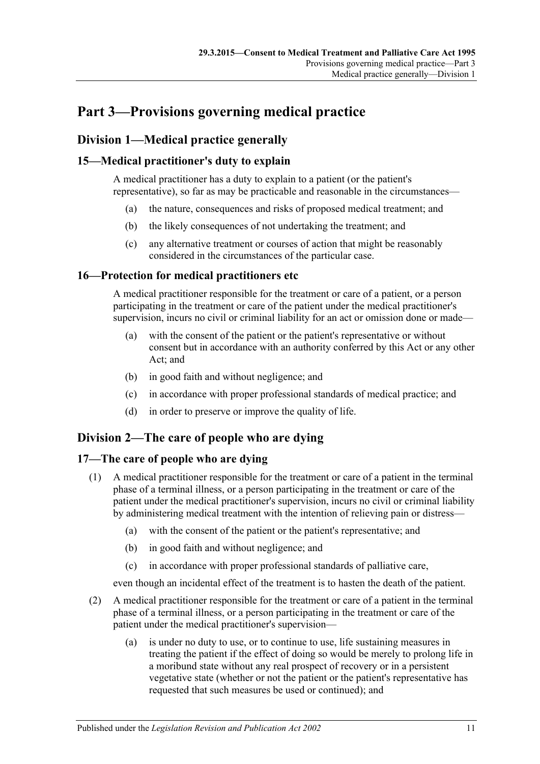# <span id="page-10-0"></span>**Part 3—Provisions governing medical practice**

## <span id="page-10-1"></span>**Division 1—Medical practice generally**

## <span id="page-10-2"></span>**15—Medical practitioner's duty to explain**

A medical practitioner has a duty to explain to a patient (or the patient's representative), so far as may be practicable and reasonable in the circumstances—

- (a) the nature, consequences and risks of proposed medical treatment; and
- (b) the likely consequences of not undertaking the treatment; and
- (c) any alternative treatment or courses of action that might be reasonably considered in the circumstances of the particular case.

## <span id="page-10-3"></span>**16—Protection for medical practitioners etc**

A medical practitioner responsible for the treatment or care of a patient, or a person participating in the treatment or care of the patient under the medical practitioner's supervision, incurs no civil or criminal liability for an act or omission done or made—

- (a) with the consent of the patient or the patient's representative or without consent but in accordance with an authority conferred by this Act or any other Act; and
- (b) in good faith and without negligence; and
- (c) in accordance with proper professional standards of medical practice; and
- (d) in order to preserve or improve the quality of life.

## <span id="page-10-4"></span>**Division 2—The care of people who are dying**

## <span id="page-10-6"></span><span id="page-10-5"></span>**17—The care of people who are dying**

- (1) A medical practitioner responsible for the treatment or care of a patient in the terminal phase of a terminal illness, or a person participating in the treatment or care of the patient under the medical practitioner's supervision, incurs no civil or criminal liability by administering medical treatment with the intention of relieving pain or distress—
	- (a) with the consent of the patient or the patient's representative; and
	- (b) in good faith and without negligence; and
	- (c) in accordance with proper professional standards of palliative care,

even though an incidental effect of the treatment is to hasten the death of the patient.

- <span id="page-10-7"></span>(2) A medical practitioner responsible for the treatment or care of a patient in the terminal phase of a terminal illness, or a person participating in the treatment or care of the patient under the medical practitioner's supervision—
	- (a) is under no duty to use, or to continue to use, life sustaining measures in treating the patient if the effect of doing so would be merely to prolong life in a moribund state without any real prospect of recovery or in a persistent vegetative state (whether or not the patient or the patient's representative has requested that such measures be used or continued); and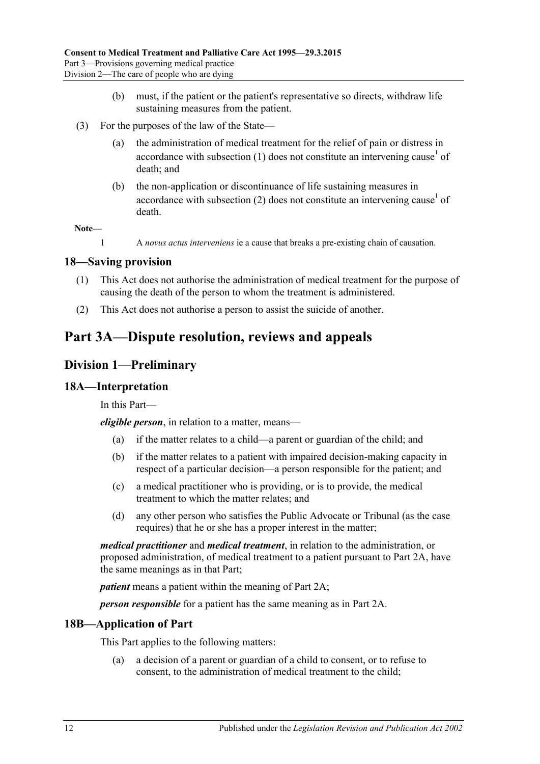- (b) must, if the patient or the patient's representative so directs, withdraw life sustaining measures from the patient.
- (3) For the purposes of the law of the State—
	- (a) the administration of medical treatment for the relief of pain or distress in accordance with [subsection](#page-10-6)  $(1)$  does not constitute an intervening cause<sup>1</sup> of death; and
	- (b) the non-application or discontinuance of life sustaining measures in accordance with [subsection](#page-10-7)  $(2)$  does not constitute an intervening cause of death.

**Note—**

- 
- 1 A *novus actus interveniens* ie a cause that breaks a pre-existing chain of causation.

#### <span id="page-11-0"></span>**18—Saving provision**

- (1) This Act does not authorise the administration of medical treatment for the purpose of causing the death of the person to whom the treatment is administered.
- (2) This Act does not authorise a person to assist the suicide of another.

# <span id="page-11-1"></span>**Part 3A—Dispute resolution, reviews and appeals**

## <span id="page-11-2"></span>**Division 1—Preliminary**

#### <span id="page-11-3"></span>**18A—Interpretation**

In this Part—

*eligible person*, in relation to a matter, means—

- (a) if the matter relates to a child—a parent or guardian of the child; and
- (b) if the matter relates to a patient with impaired decision-making capacity in respect of a particular decision—a person responsible for the patient; and
- (c) a medical practitioner who is providing, or is to provide, the medical treatment to which the matter relates; and
- (d) any other person who satisfies the Public Advocate or Tribunal (as the case requires) that he or she has a proper interest in the matter;

*medical practitioner* and *medical treatment*, in relation to the administration, or proposed administration, of medical treatment to a patient pursuant to [Part 2A,](#page-7-0) have the same meanings as in that Part;

*patient* means a patient within the meaning of [Part 2A;](#page-7-0)

*person responsible* for a patient has the same meaning as in [Part 2A.](#page-7-0)

#### <span id="page-11-4"></span>**18B—Application of Part**

This Part applies to the following matters:

(a) a decision of a parent or guardian of a child to consent, or to refuse to consent, to the administration of medical treatment to the child;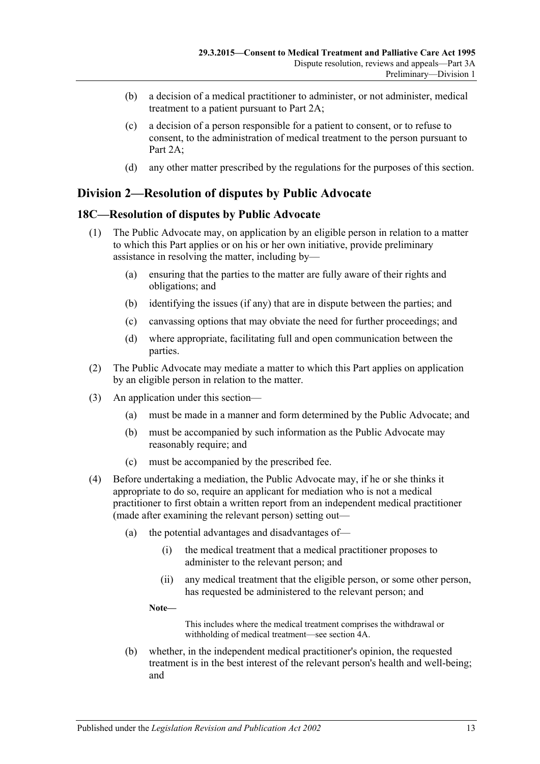- (b) a decision of a medical practitioner to administer, or not administer, medical treatment to a patient pursuant to [Part 2A;](#page-7-0)
- (c) a decision of a person responsible for a patient to consent, or to refuse to consent, to the administration of medical treatment to the person pursuant to [Part 2A;](#page-7-0)
- (d) any other matter prescribed by the regulations for the purposes of this section.

## <span id="page-12-0"></span>**Division 2—Resolution of disputes by Public Advocate**

#### <span id="page-12-1"></span>**18C—Resolution of disputes by Public Advocate**

- (1) The Public Advocate may, on application by an eligible person in relation to a matter to which this Part applies or on his or her own initiative, provide preliminary assistance in resolving the matter, including by—
	- (a) ensuring that the parties to the matter are fully aware of their rights and obligations; and
	- (b) identifying the issues (if any) that are in dispute between the parties; and
	- (c) canvassing options that may obviate the need for further proceedings; and
	- (d) where appropriate, facilitating full and open communication between the parties.
- (2) The Public Advocate may mediate a matter to which this Part applies on application by an eligible person in relation to the matter.
- (3) An application under this section—
	- (a) must be made in a manner and form determined by the Public Advocate; and
	- (b) must be accompanied by such information as the Public Advocate may reasonably require; and
	- (c) must be accompanied by the prescribed fee.
- (4) Before undertaking a mediation, the Public Advocate may, if he or she thinks it appropriate to do so, require an applicant for mediation who is not a medical practitioner to first obtain a written report from an independent medical practitioner (made after examining the relevant person) setting out—
	- (a) the potential advantages and disadvantages of—
		- (i) the medical treatment that a medical practitioner proposes to administer to the relevant person; and
		- (ii) any medical treatment that the eligible person, or some other person, has requested be administered to the relevant person; and

**Note—**

This includes where the medical treatment comprises the withdrawal or withholding of medical treatment—see [section](#page-4-0) 4A.

(b) whether, in the independent medical practitioner's opinion, the requested treatment is in the best interest of the relevant person's health and well-being; and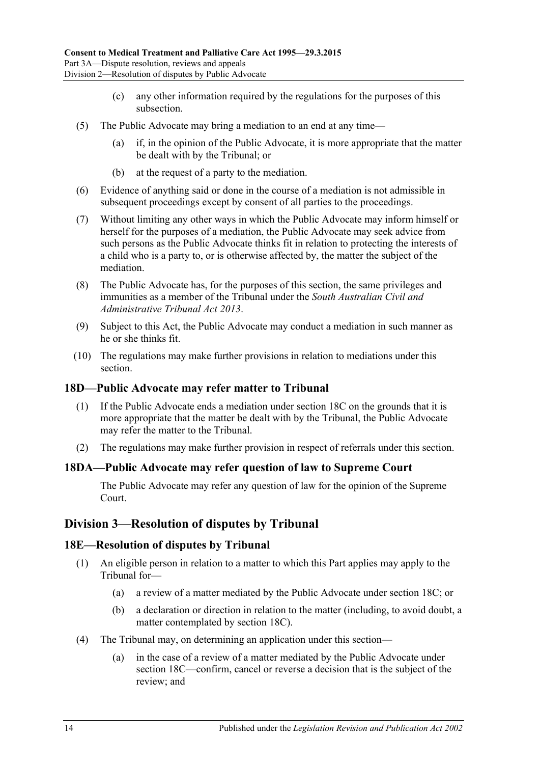- (c) any other information required by the regulations for the purposes of this subsection.
- (5) The Public Advocate may bring a mediation to an end at any time—
	- (a) if, in the opinion of the Public Advocate, it is more appropriate that the matter be dealt with by the Tribunal; or
	- (b) at the request of a party to the mediation.
- (6) Evidence of anything said or done in the course of a mediation is not admissible in subsequent proceedings except by consent of all parties to the proceedings.
- (7) Without limiting any other ways in which the Public Advocate may inform himself or herself for the purposes of a mediation, the Public Advocate may seek advice from such persons as the Public Advocate thinks fit in relation to protecting the interests of a child who is a party to, or is otherwise affected by, the matter the subject of the mediation.
- (8) The Public Advocate has, for the purposes of this section, the same privileges and immunities as a member of the Tribunal under the *[South Australian Civil and](http://www.legislation.sa.gov.au/index.aspx?action=legref&type=act&legtitle=South%20Australian%20Civil%20and%20Administrative%20Tribunal%20Act%202013)  [Administrative Tribunal Act](http://www.legislation.sa.gov.au/index.aspx?action=legref&type=act&legtitle=South%20Australian%20Civil%20and%20Administrative%20Tribunal%20Act%202013) 2013*.
- (9) Subject to this Act, the Public Advocate may conduct a mediation in such manner as he or she thinks fit.
- (10) The regulations may make further provisions in relation to mediations under this section.

#### <span id="page-13-0"></span>**18D—Public Advocate may refer matter to Tribunal**

- (1) If the Public Advocate ends a mediation under [section](#page-12-1) 18C on the grounds that it is more appropriate that the matter be dealt with by the Tribunal, the Public Advocate may refer the matter to the Tribunal.
- (2) The regulations may make further provision in respect of referrals under this section.

#### <span id="page-13-1"></span>**18DA—Public Advocate may refer question of law to Supreme Court**

The Public Advocate may refer any question of law for the opinion of the Supreme Court.

## <span id="page-13-2"></span>**Division 3—Resolution of disputes by Tribunal**

#### <span id="page-13-3"></span>**18E—Resolution of disputes by Tribunal**

- (1) An eligible person in relation to a matter to which this Part applies may apply to the Tribunal for—
	- (a) a review of a matter mediated by the Public Advocate under [section](#page-12-1) 18C; or
	- (b) a declaration or direction in relation to the matter (including, to avoid doubt, a matter contemplated by [section](#page-12-1) 18C).
- (4) The Tribunal may, on determining an application under this section—
	- (a) in the case of a review of a matter mediated by the Public Advocate under [section](#page-12-1) 18C—confirm, cancel or reverse a decision that is the subject of the review; and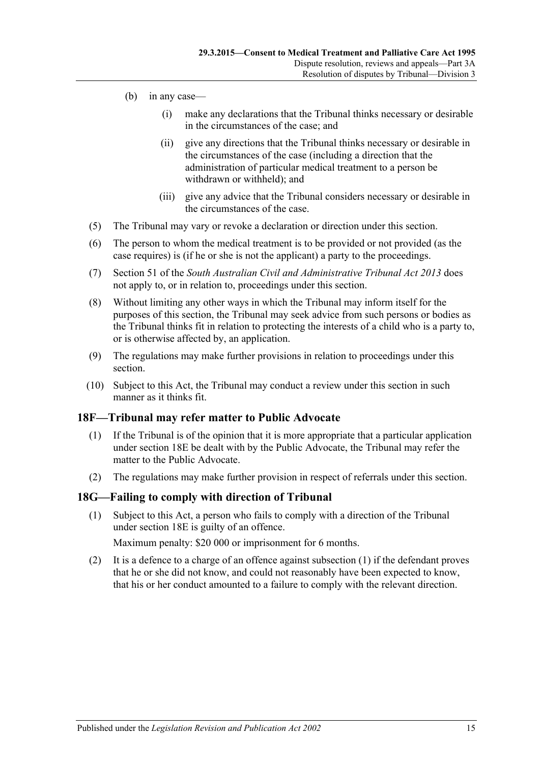- (b) in any case—
	- (i) make any declarations that the Tribunal thinks necessary or desirable in the circumstances of the case; and
	- (ii) give any directions that the Tribunal thinks necessary or desirable in the circumstances of the case (including a direction that the administration of particular medical treatment to a person be withdrawn or withheld); and
	- (iii) give any advice that the Tribunal considers necessary or desirable in the circumstances of the case.
- (5) The Tribunal may vary or revoke a declaration or direction under this section.
- (6) The person to whom the medical treatment is to be provided or not provided (as the case requires) is (if he or she is not the applicant) a party to the proceedings.
- (7) Section 51 of the *[South Australian Civil and Administrative Tribunal Act](http://www.legislation.sa.gov.au/index.aspx?action=legref&type=act&legtitle=South%20Australian%20Civil%20and%20Administrative%20Tribunal%20Act%202013) 2013* does not apply to, or in relation to, proceedings under this section.
- (8) Without limiting any other ways in which the Tribunal may inform itself for the purposes of this section, the Tribunal may seek advice from such persons or bodies as the Tribunal thinks fit in relation to protecting the interests of a child who is a party to, or is otherwise affected by, an application.
- (9) The regulations may make further provisions in relation to proceedings under this section.
- (10) Subject to this Act, the Tribunal may conduct a review under this section in such manner as it thinks fit.

#### <span id="page-14-0"></span>**18F—Tribunal may refer matter to Public Advocate**

- (1) If the Tribunal is of the opinion that it is more appropriate that a particular application under [section](#page-13-3) 18E be dealt with by the Public Advocate, the Tribunal may refer the matter to the Public Advocate.
- (2) The regulations may make further provision in respect of referrals under this section.

#### <span id="page-14-2"></span><span id="page-14-1"></span>**18G—Failing to comply with direction of Tribunal**

(1) Subject to this Act, a person who fails to comply with a direction of the Tribunal under [section](#page-13-3) 18E is guilty of an offence.

Maximum penalty: \$20 000 or imprisonment for 6 months.

(2) It is a defence to a charge of an offence against [subsection](#page-14-2) (1) if the defendant proves that he or she did not know, and could not reasonably have been expected to know, that his or her conduct amounted to a failure to comply with the relevant direction.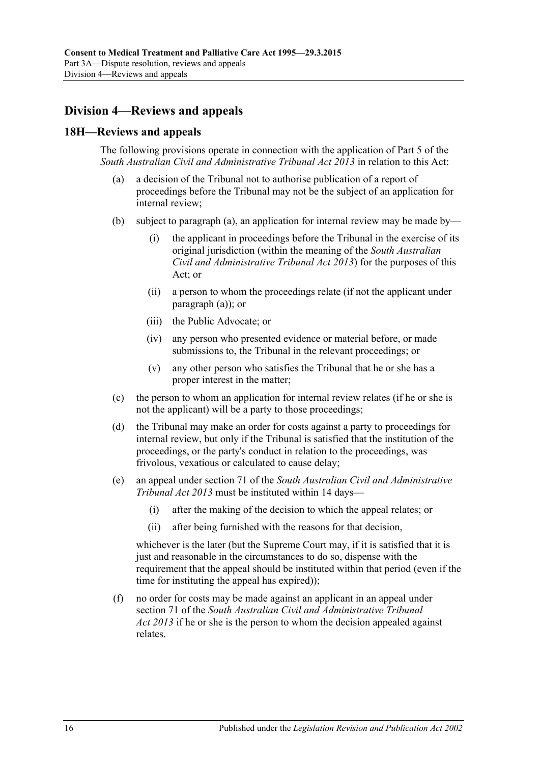## <span id="page-15-0"></span>**Division 4—Reviews and appeals**

#### <span id="page-15-2"></span><span id="page-15-1"></span>**18H—Reviews and appeals**

The following provisions operate in connection with the application of Part 5 of the *[South Australian Civil and Administrative Tribunal Act](http://www.legislation.sa.gov.au/index.aspx?action=legref&type=act&legtitle=South%20Australian%20Civil%20and%20Administrative%20Tribunal%20Act%202013) 2013* in relation to this Act:

- (a) a decision of the Tribunal not to authorise publication of a report of proceedings before the Tribunal may not be the subject of an application for internal review;
- (b) subject to [paragraph](#page-15-2) (a), an application for internal review may be made by—
	- (i) the applicant in proceedings before the Tribunal in the exercise of its original jurisdiction (within the meaning of the *[South Australian](http://www.legislation.sa.gov.au/index.aspx?action=legref&type=act&legtitle=South%20Australian%20Civil%20and%20Administrative%20Tribunal%20Act%202013)  [Civil and Administrative Tribunal Act](http://www.legislation.sa.gov.au/index.aspx?action=legref&type=act&legtitle=South%20Australian%20Civil%20and%20Administrative%20Tribunal%20Act%202013) 2013*) for the purposes of this Act; or
	- (ii) a person to whom the proceedings relate (if not the applicant under [paragraph](#page-15-2) (a)); or
	- (iii) the Public Advocate; or
	- (iv) any person who presented evidence or material before, or made submissions to, the Tribunal in the relevant proceedings; or
	- (v) any other person who satisfies the Tribunal that he or she has a proper interest in the matter;
- (c) the person to whom an application for internal review relates (if he or she is not the applicant) will be a party to those proceedings;
- (d) the Tribunal may make an order for costs against a party to proceedings for internal review, but only if the Tribunal is satisfied that the institution of the proceedings, or the party's conduct in relation to the proceedings, was frivolous, vexatious or calculated to cause delay;
- (e) an appeal under section 71 of the *[South Australian Civil and Administrative](http://www.legislation.sa.gov.au/index.aspx?action=legref&type=act&legtitle=South%20Australian%20Civil%20and%20Administrative%20Tribunal%20Act%202013)  [Tribunal Act](http://www.legislation.sa.gov.au/index.aspx?action=legref&type=act&legtitle=South%20Australian%20Civil%20and%20Administrative%20Tribunal%20Act%202013) 2013* must be instituted within 14 days—
	- (i) after the making of the decision to which the appeal relates; or
	- (ii) after being furnished with the reasons for that decision,

whichever is the later (but the Supreme Court may, if it is satisfied that it is just and reasonable in the circumstances to do so, dispense with the requirement that the appeal should be instituted within that period (even if the time for instituting the appeal has expired));

(f) no order for costs may be made against an applicant in an appeal under section 71 of the *[South Australian Civil and Administrative Tribunal](http://www.legislation.sa.gov.au/index.aspx?action=legref&type=act&legtitle=South%20Australian%20Civil%20and%20Administrative%20Tribunal%20Act%202013)  Act [2013](http://www.legislation.sa.gov.au/index.aspx?action=legref&type=act&legtitle=South%20Australian%20Civil%20and%20Administrative%20Tribunal%20Act%202013)* if he or she is the person to whom the decision appealed against relates.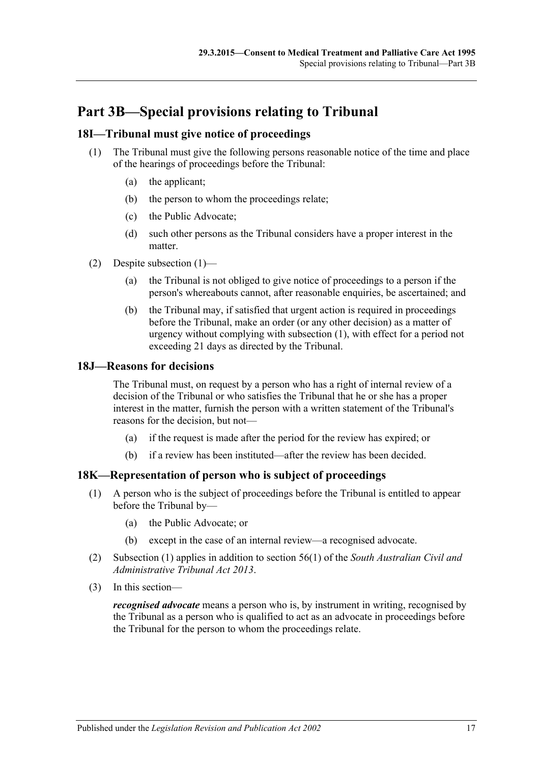# <span id="page-16-0"></span>**Part 3B—Special provisions relating to Tribunal**

### <span id="page-16-4"></span><span id="page-16-1"></span>**18I—Tribunal must give notice of proceedings**

- (1) The Tribunal must give the following persons reasonable notice of the time and place of the hearings of proceedings before the Tribunal:
	- (a) the applicant;
	- (b) the person to whom the proceedings relate;
	- (c) the Public Advocate;
	- (d) such other persons as the Tribunal considers have a proper interest in the matter.
- (2) Despite [subsection](#page-16-4) (1)—
	- (a) the Tribunal is not obliged to give notice of proceedings to a person if the person's whereabouts cannot, after reasonable enquiries, be ascertained; and
	- (b) the Tribunal may, if satisfied that urgent action is required in proceedings before the Tribunal, make an order (or any other decision) as a matter of urgency without complying with [subsection](#page-16-4) (1), with effect for a period not exceeding 21 days as directed by the Tribunal.

#### <span id="page-16-2"></span>**18J—Reasons for decisions**

The Tribunal must, on request by a person who has a right of internal review of a decision of the Tribunal or who satisfies the Tribunal that he or she has a proper interest in the matter, furnish the person with a written statement of the Tribunal's reasons for the decision, but not—

- (a) if the request is made after the period for the review has expired; or
- (b) if a review has been instituted—after the review has been decided.

#### <span id="page-16-5"></span><span id="page-16-3"></span>**18K—Representation of person who is subject of proceedings**

- (1) A person who is the subject of proceedings before the Tribunal is entitled to appear before the Tribunal by—
	- (a) the Public Advocate; or
	- (b) except in the case of an internal review—a recognised advocate.
- (2) [Subsection](#page-16-5) (1) applies in addition to section 56(1) of the *[South Australian Civil and](http://www.legislation.sa.gov.au/index.aspx?action=legref&type=act&legtitle=South%20Australian%20Civil%20and%20Administrative%20Tribunal%20Act%202013)  [Administrative Tribunal Act](http://www.legislation.sa.gov.au/index.aspx?action=legref&type=act&legtitle=South%20Australian%20Civil%20and%20Administrative%20Tribunal%20Act%202013) 2013*.
- (3) In this section—

*recognised advocate* means a person who is, by instrument in writing, recognised by the Tribunal as a person who is qualified to act as an advocate in proceedings before the Tribunal for the person to whom the proceedings relate.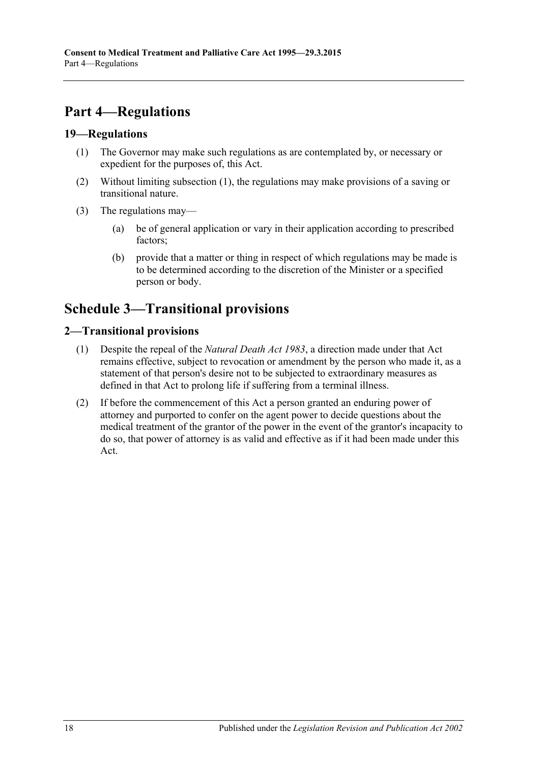# <span id="page-17-0"></span>**Part 4—Regulations**

#### <span id="page-17-4"></span><span id="page-17-1"></span>**19—Regulations**

- (1) The Governor may make such regulations as are contemplated by, or necessary or expedient for the purposes of, this Act.
- (2) Without limiting [subsection](#page-17-4) (1), the regulations may make provisions of a saving or transitional nature.
- (3) The regulations may—
	- (a) be of general application or vary in their application according to prescribed factors;
	- (b) provide that a matter or thing in respect of which regulations may be made is to be determined according to the discretion of the Minister or a specified person or body.

# <span id="page-17-2"></span>**Schedule 3—Transitional provisions**

## <span id="page-17-3"></span>**2—Transitional provisions**

- (1) Despite the repeal of the *[Natural Death Act](http://www.legislation.sa.gov.au/index.aspx?action=legref&type=act&legtitle=Natural%20Death%20Act%201983) 1983*, a direction made under that Act remains effective, subject to revocation or amendment by the person who made it, as a statement of that person's desire not to be subjected to extraordinary measures as defined in that Act to prolong life if suffering from a terminal illness.
- (2) If before the commencement of this Act a person granted an enduring power of attorney and purported to confer on the agent power to decide questions about the medical treatment of the grantor of the power in the event of the grantor's incapacity to do so, that power of attorney is as valid and effective as if it had been made under this Act.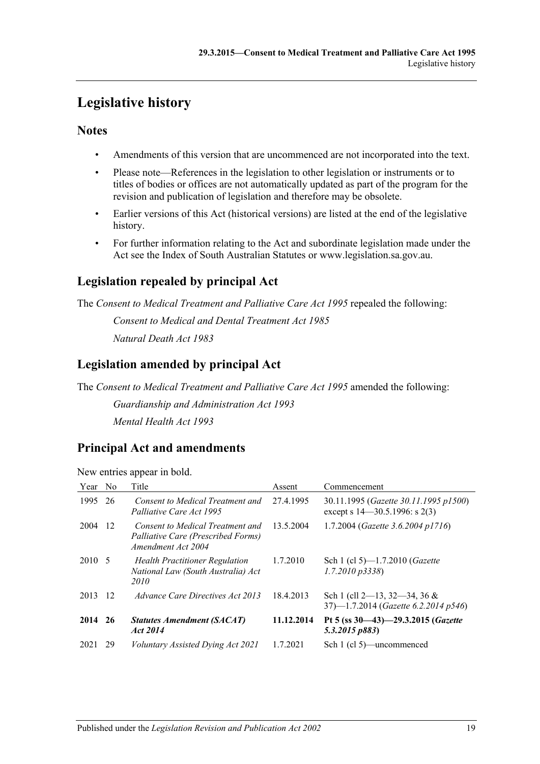# <span id="page-18-0"></span>**Legislative history**

## **Notes**

- Amendments of this version that are uncommenced are not incorporated into the text.
- Please note—References in the legislation to other legislation or instruments or to titles of bodies or offices are not automatically updated as part of the program for the revision and publication of legislation and therefore may be obsolete.
- Earlier versions of this Act (historical versions) are listed at the end of the legislative history.
- For further information relating to the Act and subordinate legislation made under the Act see the Index of South Australian Statutes or www.legislation.sa.gov.au.

## **Legislation repealed by principal Act**

The *Consent to Medical Treatment and Palliative Care Act 1995* repealed the following:

*Consent to Medical and Dental Treatment Act 1985 Natural Death Act 1983*

## **Legislation amended by principal Act**

The *Consent to Medical Treatment and Palliative Care Act 1995* amended the following: *Guardianship and Administration Act 1993 Mental Health Act 1993*

## **Principal Act and amendments**

| Year No |     | Title                                                                                        | Assent     | Commencement                                                                  |
|---------|-----|----------------------------------------------------------------------------------------------|------------|-------------------------------------------------------------------------------|
| 1995    | 26  | Consent to Medical Treatment and<br>Palliative Care Act 1995                                 | 27.4.1995  | 30.11.1995 (Gazette 30.11.1995 p1500)<br>except s $14 - 30.5.1996$ : s $2(3)$ |
| 2004    | 12  | Consent to Medical Treatment and<br>Palliative Care (Prescribed Forms)<br>Amendment Act 2004 | 13.5.2004  | 1.7.2004 (Gazette 3.6.2004 p1716)                                             |
| 2010 5  |     | <b>Health Practitioner Regulation</b><br>National Law (South Australia) Act<br>2010          | 1.7.2010   | Sch 1 (cl 5)-1.7.2010 (Gazette<br>$1.7.2010 \text{ p}3338$                    |
| 2013    | -12 | <i>Advance Care Directives Act 2013</i>                                                      | 18.4.2013  | Sch 1 (cll 2-13, 32-34, 36 &<br>37)-1.7.2014 (Gazette 6.2.2014 p546)          |
| 2014    | -26 | <b>Statutes Amendment (SACAT)</b><br>Act 2014                                                | 11.12.2014 | Pt 5 (ss 30-43)-29.3.2015 (Gazette<br>5.3.2015 p883)                          |
| 2021    | 29  | Voluntary Assisted Dying Act 2021                                                            | 1.7.2021   | Sch 1 (cl 5)—uncommenced                                                      |

New entries appear in bold.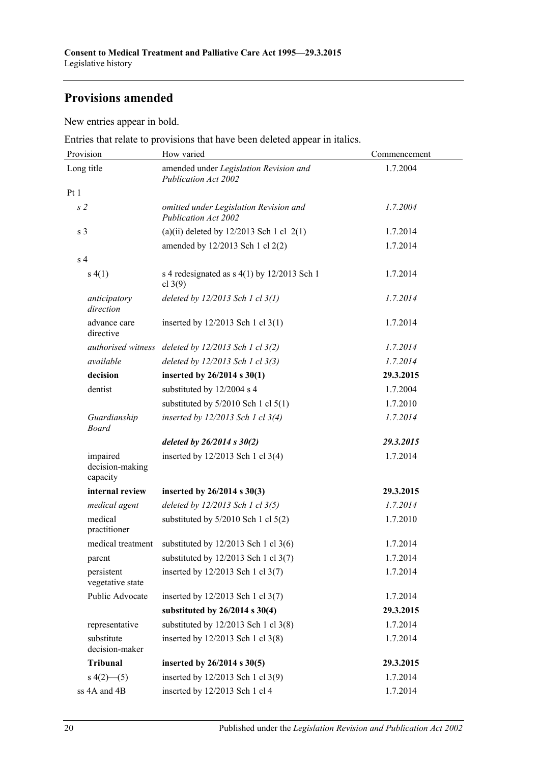## **Provisions amended**

New entries appear in bold.

Entries that relate to provisions that have been deleted appear in italics.

| Provision                               | How varied                                                     | Commencement |  |
|-----------------------------------------|----------------------------------------------------------------|--------------|--|
| Long title                              | amended under Legislation Revision and<br>Publication Act 2002 | 1.7.2004     |  |
| Pt1                                     |                                                                |              |  |
| s <sub>2</sub>                          | omitted under Legislation Revision and<br>Publication Act 2002 | 1.7.2004     |  |
| s <sub>3</sub>                          | (a)(ii) deleted by $12/2013$ Sch 1 cl $2(1)$                   | 1.7.2014     |  |
|                                         | amended by 12/2013 Sch 1 cl 2(2)                               | 1.7.2014     |  |
| s <sub>4</sub>                          |                                                                |              |  |
| s(4(1))                                 | s 4 redesignated as $s$ 4(1) by 12/2013 Sch 1<br>cl $3(9)$     | 1.7.2014     |  |
| anticipatory<br>direction               | deleted by $12/2013$ Sch 1 cl $3(1)$                           | 1.7.2014     |  |
| advance care<br>directive               | inserted by 12/2013 Sch 1 cl 3(1)                              | 1.7.2014     |  |
|                                         | authorised witness deleted by $12/2013$ Sch 1 cl 3(2)          | 1.7.2014     |  |
| available                               | deleted by 12/2013 Sch 1 cl 3(3)                               | 1.7.2014     |  |
| decision                                | inserted by $26/2014$ s $30(1)$                                | 29.3.2015    |  |
| dentist                                 | substituted by 12/2004 s 4                                     | 1.7.2004     |  |
|                                         | substituted by $5/2010$ Sch 1 cl $5(1)$                        | 1.7.2010     |  |
| Guardianship<br><b>Board</b>            | inserted by $12/2013$ Sch 1 cl $3(4)$                          | 1.7.2014     |  |
|                                         | deleted by $26/2014 s 30(2)$                                   | 29.3.2015    |  |
| impaired<br>decision-making<br>capacity | inserted by 12/2013 Sch 1 cl 3(4)                              | 1.7.2014     |  |
| internal review                         | inserted by 26/2014 s 30(3)                                    | 29.3.2015    |  |
| medical agent                           | deleted by 12/2013 Sch 1 cl 3(5)                               | 1.7.2014     |  |
| medical<br>practitioner                 | substituted by $5/2010$ Sch 1 cl $5(2)$                        | 1.7.2010     |  |
| medical treatment                       | substituted by $12/2013$ Sch 1 cl 3(6)                         | 1.7.2014     |  |
| parent                                  | substituted by $12/2013$ Sch 1 cl 3(7)                         | 1.7.2014     |  |
| persistent<br>vegetative state          | inserted by 12/2013 Sch 1 cl 3(7)                              | 1.7.2014     |  |
| Public Advocate                         | inserted by 12/2013 Sch 1 cl 3(7)                              | 1.7.2014     |  |
|                                         | substituted by $26/2014$ s $30(4)$                             | 29.3.2015    |  |
| representative                          | substituted by $12/2013$ Sch 1 cl 3(8)                         | 1.7.2014     |  |
| substitute<br>decision-maker            | inserted by 12/2013 Sch 1 cl 3(8)                              | 1.7.2014     |  |
| Tribunal                                | inserted by 26/2014 s 30(5)                                    | 29.3.2015    |  |
| $s\ 4(2)$ (5)                           | inserted by 12/2013 Sch 1 cl 3(9)                              | 1.7.2014     |  |
| ss 4A and 4B                            | inserted by 12/2013 Sch 1 cl 4                                 | 1.7.2014     |  |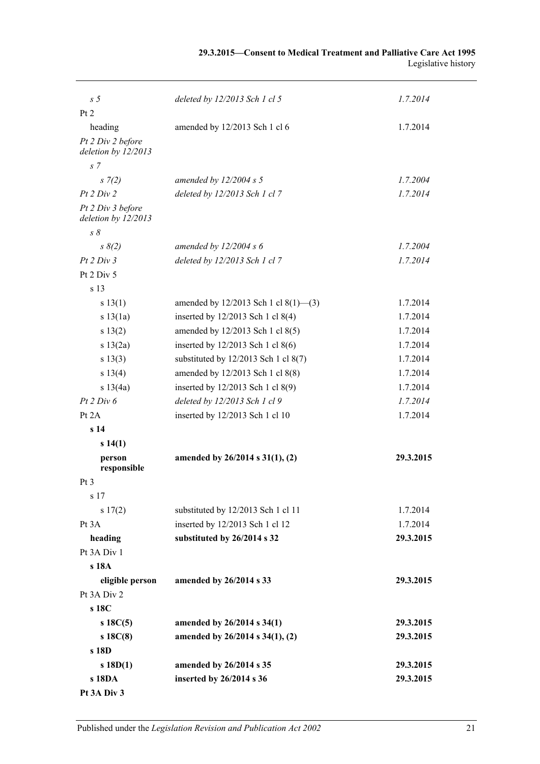#### **29.3.2015—Consent to Medical Treatment and Palliative Care Act 1995** Legislative history

| S <sub>5</sub>                           | deleted by 12/2013 Sch 1 cl 5            | 1.7.2014  |
|------------------------------------------|------------------------------------------|-----------|
| Pt 2                                     |                                          |           |
| heading                                  | amended by 12/2013 Sch 1 cl 6            | 1.7.2014  |
| Pt 2 Div 2 before<br>deletion by 12/2013 |                                          |           |
| s <sub>7</sub>                           |                                          |           |
| $s \, 7(2)$                              | amended by $12/2004 s 5$                 | 1.7.2004  |
| Pt 2 Div 2                               | deleted by 12/2013 Sch 1 cl 7            | 1.7.2014  |
| Pt 2 Div 3 before<br>deletion by 12/2013 |                                          |           |
| $s \, \delta$                            |                                          |           |
| $s \, 8(2)$                              | amended by $12/2004 s 6$                 | 1.7.2004  |
| Pt 2 Div 3                               | deleted by 12/2013 Sch 1 cl 7            | 1.7.2014  |
| Pt 2 Div 5                               |                                          |           |
| s 13                                     |                                          |           |
| s 13(1)                                  | amended by 12/2013 Sch 1 cl $8(1)$ —(3)  | 1.7.2014  |
| s 13(1a)                                 | inserted by $12/2013$ Sch 1 cl $8(4)$    | 1.7.2014  |
| s 13(2)                                  | amended by 12/2013 Sch 1 cl 8(5)         | 1.7.2014  |
| s 13(2a)                                 | inserted by 12/2013 Sch 1 cl 8(6)        | 1.7.2014  |
| s 13(3)                                  | substituted by $12/2013$ Sch 1 cl $8(7)$ | 1.7.2014  |
| s 13(4)                                  | amended by 12/2013 Sch 1 cl 8(8)         | 1.7.2014  |
| s 13(4a)                                 | inserted by 12/2013 Sch 1 cl 8(9)        | 1.7.2014  |
| Pt 2 Div 6                               | deleted by 12/2013 Sch 1 cl 9            | 1.7.2014  |
| Pt $2A$                                  | inserted by 12/2013 Sch 1 cl 10          | 1.7.2014  |
| s <sub>14</sub>                          |                                          |           |
| s 14(1)                                  |                                          |           |
| person<br>responsible                    | amended by 26/2014 s 31(1), (2)          | 29.3.2015 |
| Pt <sub>3</sub>                          |                                          |           |
| s 17                                     |                                          |           |
| s 17(2)                                  | substituted by 12/2013 Sch 1 cl 11       | 1.7.2014  |
| Pt 3A                                    | inserted by 12/2013 Sch 1 cl 12          | 1.7.2014  |
| heading                                  | substituted by 26/2014 s 32              | 29.3.2015 |
| Pt 3A Div 1                              |                                          |           |
| s 18A                                    |                                          |           |
| eligible person                          | amended by 26/2014 s 33                  | 29.3.2015 |
| Pt 3A Div 2                              |                                          |           |
| s 18C                                    |                                          |           |
| $s$ 18C(5)                               | amended by 26/2014 s 34(1)               | 29.3.2015 |
| $s$ 18C(8)                               | amended by 26/2014 s 34(1), (2)          | 29.3.2015 |
| s 18D                                    |                                          |           |
| s 18D(1)                                 | amended by 26/2014 s 35                  | 29.3.2015 |
| s 18DA                                   | inserted by 26/2014 s 36                 | 29.3.2015 |
| Pt 3A Div 3                              |                                          |           |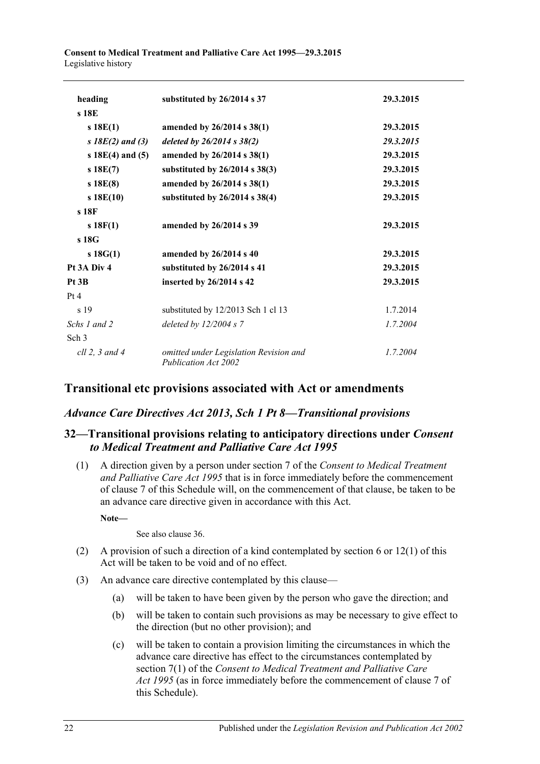**Consent to Medical Treatment and Palliative Care Act 1995—29.3.2015** Legislative history

| heading              | substituted by 26/2014 s 37                                           | 29.3.2015 |
|----------------------|-----------------------------------------------------------------------|-----------|
| s 18E                |                                                                       |           |
| s 18E(1)             | amended by 26/2014 s 38(1)                                            | 29.3.2015 |
| s $18E(2)$ and (3)   | deleted by $26/2014$ s $38(2)$                                        | 29.3.2015 |
| s $18E(4)$ and $(5)$ | amended by 26/2014 s 38(1)                                            | 29.3.2015 |
| s 18E(7)             | substituted by $26/2014$ s $38(3)$                                    | 29.3.2015 |
| s18E(8)              | amended by 26/2014 s 38(1)                                            | 29.3.2015 |
| s 18E(10)            | substituted by $26/2014$ s $38(4)$                                    | 29.3.2015 |
| s 18F                |                                                                       |           |
| s 18F(1)             | amended by 26/2014 s 39                                               | 29.3.2015 |
| s 18G                |                                                                       |           |
| $s\,18G(1)$          | amended by 26/2014 s 40                                               | 29.3.2015 |
| Pt 3A Div 4          | substituted by 26/2014 s 41                                           | 29.3.2015 |
| Pt 3B                | inserted by 26/2014 s 42                                              | 29.3.2015 |
| Pt 4                 |                                                                       |           |
| s 19                 | substituted by 12/2013 Sch 1 cl 13                                    | 1.7.2014  |
| Schs 1 and 2         | deleted by $12/2004 s$ 7                                              | 1.7.2004  |
| Sch <sub>3</sub>     |                                                                       |           |
| cll 2. $3$ and $4$   | omitted under Legislation Revision and<br><b>Publication Act 2002</b> | 1.7.2004  |

## **Transitional etc provisions associated with Act or amendments**

#### *Advance Care Directives Act 2013, Sch 1 Pt 8—Transitional provisions*

#### <span id="page-21-0"></span>**32—Transitional provisions relating to anticipatory directions under** *Consent to Medical Treatment and Palliative Care Act 1995*

(1) A direction given by a person under section 7 of the *[Consent to Medical Treatment](http://www.legislation.sa.gov.au/index.aspx?action=legref&type=act&legtitle=Consent%20to%20Medical%20Treatment%20and%20Palliative%20Care%20Act%201995)  [and Palliative Care Act](http://www.legislation.sa.gov.au/index.aspx?action=legref&type=act&legtitle=Consent%20to%20Medical%20Treatment%20and%20Palliative%20Care%20Act%201995) 1995* that is in force immediately before the commencement of clause 7 of this Schedule will, on the commencement of that clause, be taken to be an advance care directive given in accordance with this Act.

**Note—**

See also [clause](#page-23-0) 36.

- <span id="page-21-1"></span>(2) A provision of such a direction of a kind contemplated by section 6 or 12(1) of this Act will be taken to be void and of no effect.
- <span id="page-21-2"></span>(3) An advance care directive contemplated by this clause—
	- (a) will be taken to have been given by the person who gave the direction; and
	- (b) will be taken to contain such provisions as may be necessary to give effect to the direction (but no other provision); and
	- (c) will be taken to contain a provision limiting the circumstances in which the advance care directive has effect to the circumstances contemplated by section 7(1) of the *[Consent to Medical Treatment and Palliative Care](http://www.legislation.sa.gov.au/index.aspx?action=legref&type=act&legtitle=Consent%20to%20Medical%20Treatment%20and%20Palliative%20Care%20Act%201995)  Act [1995](http://www.legislation.sa.gov.au/index.aspx?action=legref&type=act&legtitle=Consent%20to%20Medical%20Treatment%20and%20Palliative%20Care%20Act%201995)* (as in force immediately before the commencement of clause 7 of this Schedule).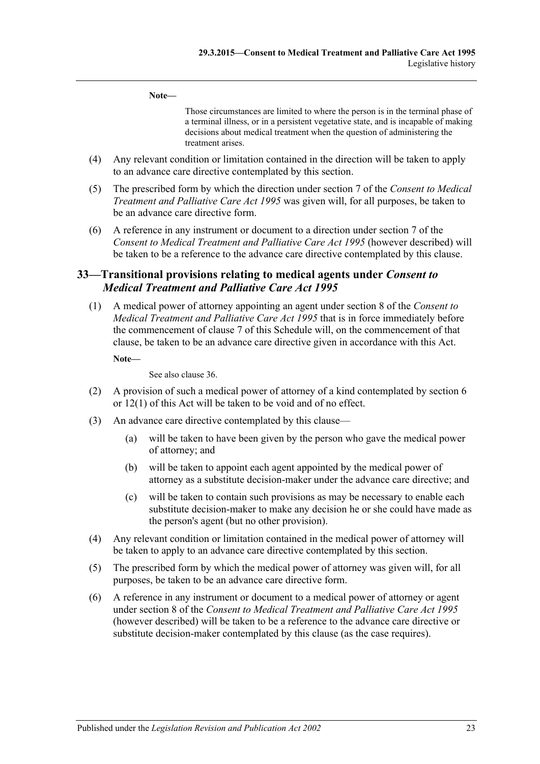**Note—**

Those circumstances are limited to where the person is in the terminal phase of a terminal illness, or in a persistent vegetative state, and is incapable of making decisions about medical treatment when the question of administering the treatment arises.

- <span id="page-22-1"></span>(4) Any relevant condition or limitation contained in the direction will be taken to apply to an advance care directive contemplated by this section.
- (5) The prescribed form by which the direction under section 7 of the *[Consent to Medical](http://www.legislation.sa.gov.au/index.aspx?action=legref&type=act&legtitle=Consent%20to%20Medical%20Treatment%20and%20Palliative%20Care%20Act%201995)  [Treatment and Palliative Care Act](http://www.legislation.sa.gov.au/index.aspx?action=legref&type=act&legtitle=Consent%20to%20Medical%20Treatment%20and%20Palliative%20Care%20Act%201995) 1995* was given will, for all purposes, be taken to be an advance care directive form.
- (6) A reference in any instrument or document to a direction under section 7 of the *[Consent to Medical Treatment and Palliative Care Act](http://www.legislation.sa.gov.au/index.aspx?action=legref&type=act&legtitle=Consent%20to%20Medical%20Treatment%20and%20Palliative%20Care%20Act%201995) 1995* (however described) will be taken to be a reference to the advance care directive contemplated by this clause.

#### <span id="page-22-0"></span>**33—Transitional provisions relating to medical agents under** *Consent to Medical Treatment and Palliative Care Act 1995*

(1) A medical power of attorney appointing an agent under section 8 of the *[Consent to](http://www.legislation.sa.gov.au/index.aspx?action=legref&type=act&legtitle=Consent%20to%20Medical%20Treatment%20and%20Palliative%20Care%20Act%201995)  [Medical Treatment and Palliative Care Act](http://www.legislation.sa.gov.au/index.aspx?action=legref&type=act&legtitle=Consent%20to%20Medical%20Treatment%20and%20Palliative%20Care%20Act%201995) 1995* that is in force immediately before the commencement of clause 7 of this Schedule will, on the commencement of that clause, be taken to be an advance care directive given in accordance with this Act.

**Note—**

See also [clause](#page-23-0) 36.

- <span id="page-22-2"></span>(2) A provision of such a medical power of attorney of a kind contemplated by section 6 or 12(1) of this Act will be taken to be void and of no effect.
- <span id="page-22-3"></span>(3) An advance care directive contemplated by this clause—
	- (a) will be taken to have been given by the person who gave the medical power of attorney; and
	- (b) will be taken to appoint each agent appointed by the medical power of attorney as a substitute decision-maker under the advance care directive; and
	- (c) will be taken to contain such provisions as may be necessary to enable each substitute decision-maker to make any decision he or she could have made as the person's agent (but no other provision).
- <span id="page-22-4"></span>(4) Any relevant condition or limitation contained in the medical power of attorney will be taken to apply to an advance care directive contemplated by this section.
- (5) The prescribed form by which the medical power of attorney was given will, for all purposes, be taken to be an advance care directive form.
- (6) A reference in any instrument or document to a medical power of attorney or agent under section 8 of the *[Consent to Medical Treatment and Palliative Care Act](http://www.legislation.sa.gov.au/index.aspx?action=legref&type=act&legtitle=Consent%20to%20Medical%20Treatment%20and%20Palliative%20Care%20Act%201995) 1995* (however described) will be taken to be a reference to the advance care directive or substitute decision-maker contemplated by this clause (as the case requires).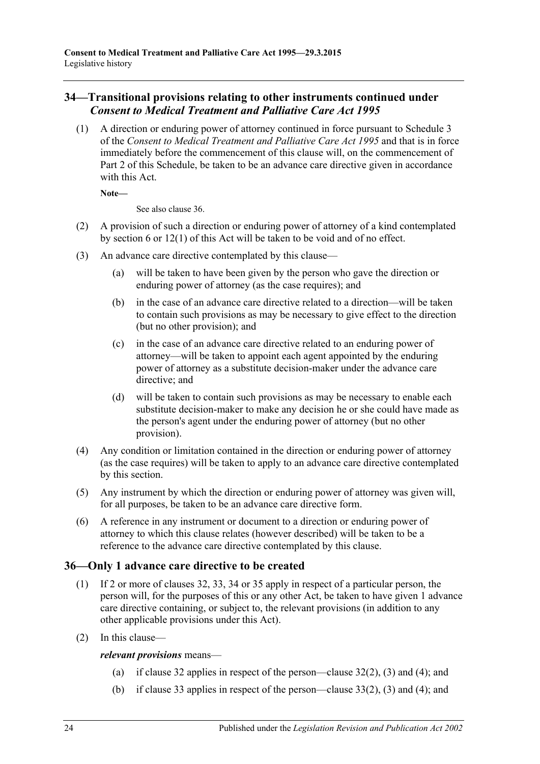## <span id="page-23-1"></span>**34—Transitional provisions relating to other instruments continued under**  *Consent to Medical Treatment and Palliative Care Act 1995*

(1) A direction or enduring power of attorney continued in force pursuant to Schedule 3 of the *[Consent to Medical Treatment and Palliative Care Act](http://www.legislation.sa.gov.au/index.aspx?action=legref&type=act&legtitle=Consent%20to%20Medical%20Treatment%20and%20Palliative%20Care%20Act%201995) 1995* and that is in force immediately before the commencement of this clause will, on the commencement of Part 2 of this Schedule, be taken to be an advance care directive given in accordance with this Act.

**Note—**

See also [clause](#page-23-0) 36.

- <span id="page-23-2"></span>(2) A provision of such a direction or enduring power of attorney of a kind contemplated by section 6 or 12(1) of this Act will be taken to be void and of no effect.
- <span id="page-23-3"></span>(3) An advance care directive contemplated by this clause—
	- (a) will be taken to have been given by the person who gave the direction or enduring power of attorney (as the case requires); and
	- (b) in the case of an advance care directive related to a direction—will be taken to contain such provisions as may be necessary to give effect to the direction (but no other provision); and
	- (c) in the case of an advance care directive related to an enduring power of attorney—will be taken to appoint each agent appointed by the enduring power of attorney as a substitute decision-maker under the advance care directive; and
	- (d) will be taken to contain such provisions as may be necessary to enable each substitute decision-maker to make any decision he or she could have made as the person's agent under the enduring power of attorney (but no other provision).
- <span id="page-23-4"></span>(4) Any condition or limitation contained in the direction or enduring power of attorney (as the case requires) will be taken to apply to an advance care directive contemplated by this section.
- (5) Any instrument by which the direction or enduring power of attorney was given will, for all purposes, be taken to be an advance care directive form.
- (6) A reference in any instrument or document to a direction or enduring power of attorney to which this clause relates (however described) will be taken to be a reference to the advance care directive contemplated by this clause.

## <span id="page-23-0"></span>**36—Only 1 advance care directive to be created**

- (1) If 2 or more of [clauses](#page-21-0) 32, [33,](#page-22-0) [34](#page-23-1) or 35 apply in respect of a particular person, the person will, for the purposes of this or any other Act, be taken to have given 1 advance care directive containing, or subject to, the relevant provisions (in addition to any other applicable provisions under this Act).
- (2) In this clause—

#### *relevant provisions* means—

- (a) if [clause](#page-21-0) 32 applies in respect of the person[—clause](#page-21-1) 32(2), [\(3\)](#page-21-2) and [\(4\);](#page-22-1) and
- (b) if [clause](#page-22-0) 33 applies in respect of the person[—clause](#page-22-2) 33(2), [\(3\)](#page-22-3) and [\(4\);](#page-22-4) and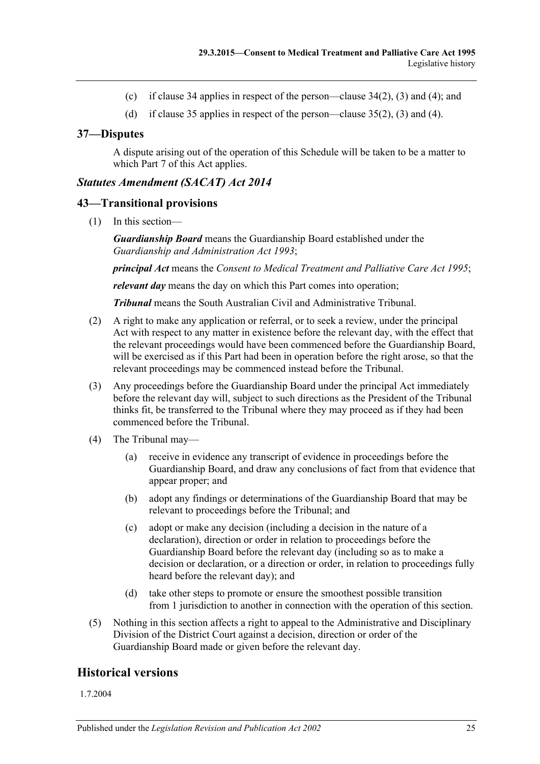- (c) if [clause](#page-23-1) 34 applies in respect of the person[—clause](#page-23-2) 34(2), [\(3\)](#page-23-3) and [\(4\);](#page-23-4) and
- (d) if clause 35 applies in respect of the person—clause  $35(2)$ , (3) and (4).

#### **37—Disputes**

A dispute arising out of the operation of this Schedule will be taken to be a matter to which Part 7 of this Act applies.

#### *Statutes Amendment (SACAT) Act 2014*

#### **43—Transitional provisions**

(1) In this section—

*Guardianship Board* means the Guardianship Board established under the *[Guardianship and Administration Act](http://www.legislation.sa.gov.au/index.aspx?action=legref&type=act&legtitle=Guardianship%20and%20Administration%20Act%201993) 1993*;

*principal Act* means the *Consent to Medical [Treatment and Palliative Care Act](http://www.legislation.sa.gov.au/index.aspx?action=legref&type=act&legtitle=Consent%20to%20Medical%20Treatment%20and%20Palliative%20Care%20Act%201995) 1995*;

*relevant day* means the day on which this Part comes into operation;

*Tribunal* means the South Australian Civil and Administrative Tribunal.

- (2) A right to make any application or referral, or to seek a review, under the principal Act with respect to any matter in existence before the relevant day, with the effect that the relevant proceedings would have been commenced before the Guardianship Board, will be exercised as if this Part had been in operation before the right arose, so that the relevant proceedings may be commenced instead before the Tribunal.
- (3) Any proceedings before the Guardianship Board under the principal Act immediately before the relevant day will, subject to such directions as the President of the Tribunal thinks fit, be transferred to the Tribunal where they may proceed as if they had been commenced before the Tribunal.
- (4) The Tribunal may—
	- (a) receive in evidence any transcript of evidence in proceedings before the Guardianship Board, and draw any conclusions of fact from that evidence that appear proper; and
	- (b) adopt any findings or determinations of the Guardianship Board that may be relevant to proceedings before the Tribunal; and
	- (c) adopt or make any decision (including a decision in the nature of a declaration), direction or order in relation to proceedings before the Guardianship Board before the relevant day (including so as to make a decision or declaration, or a direction or order, in relation to proceedings fully heard before the relevant day); and
	- (d) take other steps to promote or ensure the smoothest possible transition from 1 jurisdiction to another in connection with the operation of this section.
- (5) Nothing in this section affects a right to appeal to the Administrative and Disciplinary Division of the District Court against a decision, direction or order of the Guardianship Board made or given before the relevant day.

## **Historical versions**

1.7.2004